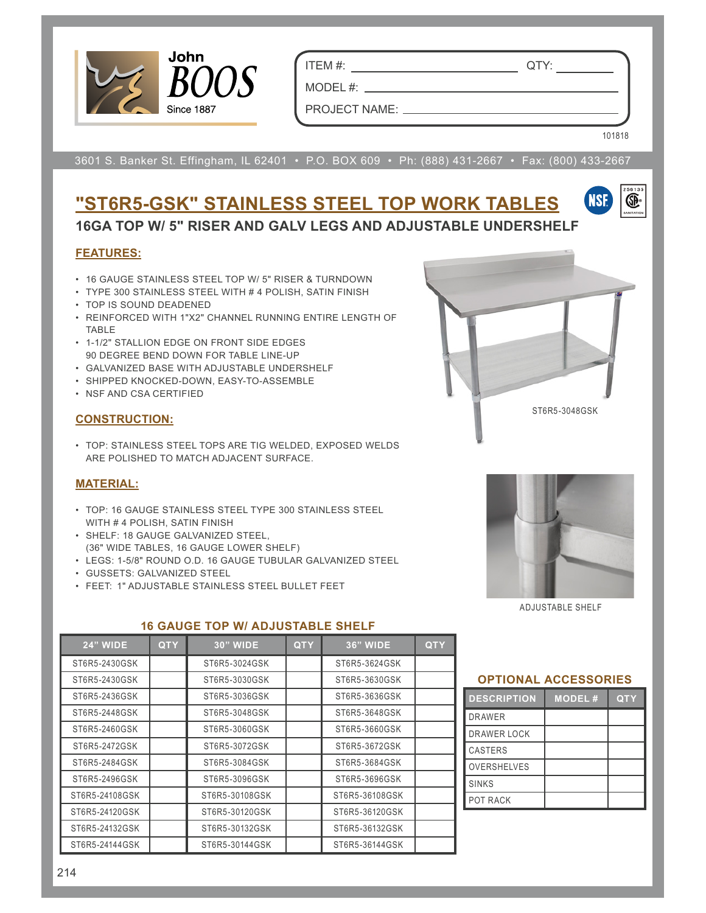

ITEM #: QTY:

MODEL #:

101818

VSF

œ

PROJECT NAME:

3601 S. Banker St. Effingham, IL 62401 • P.O. BOX 609 • Ph: (888) 431-2667 • Fax: (800) 433-2667

# **"ST6R5-GSK" STAINLESS STEEL TOP WORK TABLES 16GA TOP W/ 5" RISER AND GALV LEGS AND ADJUSTABLE UNDERSHELF**

# **FEATURES:**

- 16 GAUGE STAINLESS STEEL TOP W/ 5" RISER & TURNDOWN
- TYPE 300 STAINLESS STEEL WITH # 4 POLISH, SATIN FINISH
- TOP IS SOUND DEADENED
- REINFORCED WITH 1"X2" CHANNEL RUNNING ENTIRE LENGTH OF TABLE
- 1-1/2" STALLION EDGE ON FRONT SIDE EDGES 90 DEGREE BEND DOWN FOR TABLE LINE-UP
- GALVANIZED BASE WITH ADJUSTABLE UNDERSHELF
- SHIPPED KNOCKED-DOWN, EASY-TO-ASSEMBLE
- NSF AND CSA CERTIFIED

# **CONSTRUCTION:**

• TOP: STAINLESS STEEL TOPS ARE TIG WELDED, EXPOSED WELDS ARE POLISHED TO MATCH ADJACENT SURFACE.

# **MATERIAL:**

- TOP: 16 GAUGE STAINLESS STEEL TYPE 300 STAINLESS STEEL WITH # 4 POLISH, SATIN FINISH
- SHELF: 18 GAUGE GALVANIZED STEEL, (36" WIDE TABLES, 16 GAUGE LOWER SHELF)
- LEGS: 1-5/8" ROUND O.D. 16 GAUGE TUBULAR GALVANIZED STEEL
- GUSSETS: GALVANIZED STEEL
- FEET: 1" ADJUSTABLE STAINLESS STEEL BULLET FEET



# **16 GAUGE TOP W/ ADJUSTABLE SHELF**





ADJUSTABLE SHELF

#### **OPTIONAL ACCESSORIES**

| <b>DESCRIPTION</b> | <b>MODEL#</b> | <b>QTY</b> |
|--------------------|---------------|------------|
| <b>DRAWER</b>      |               |            |
| <b>DRAWER LOCK</b> |               |            |
| <b>CASTERS</b>     |               |            |
| <b>OVERSHELVES</b> |               |            |
| <b>SINKS</b>       |               |            |
| POT RACK           |               |            |